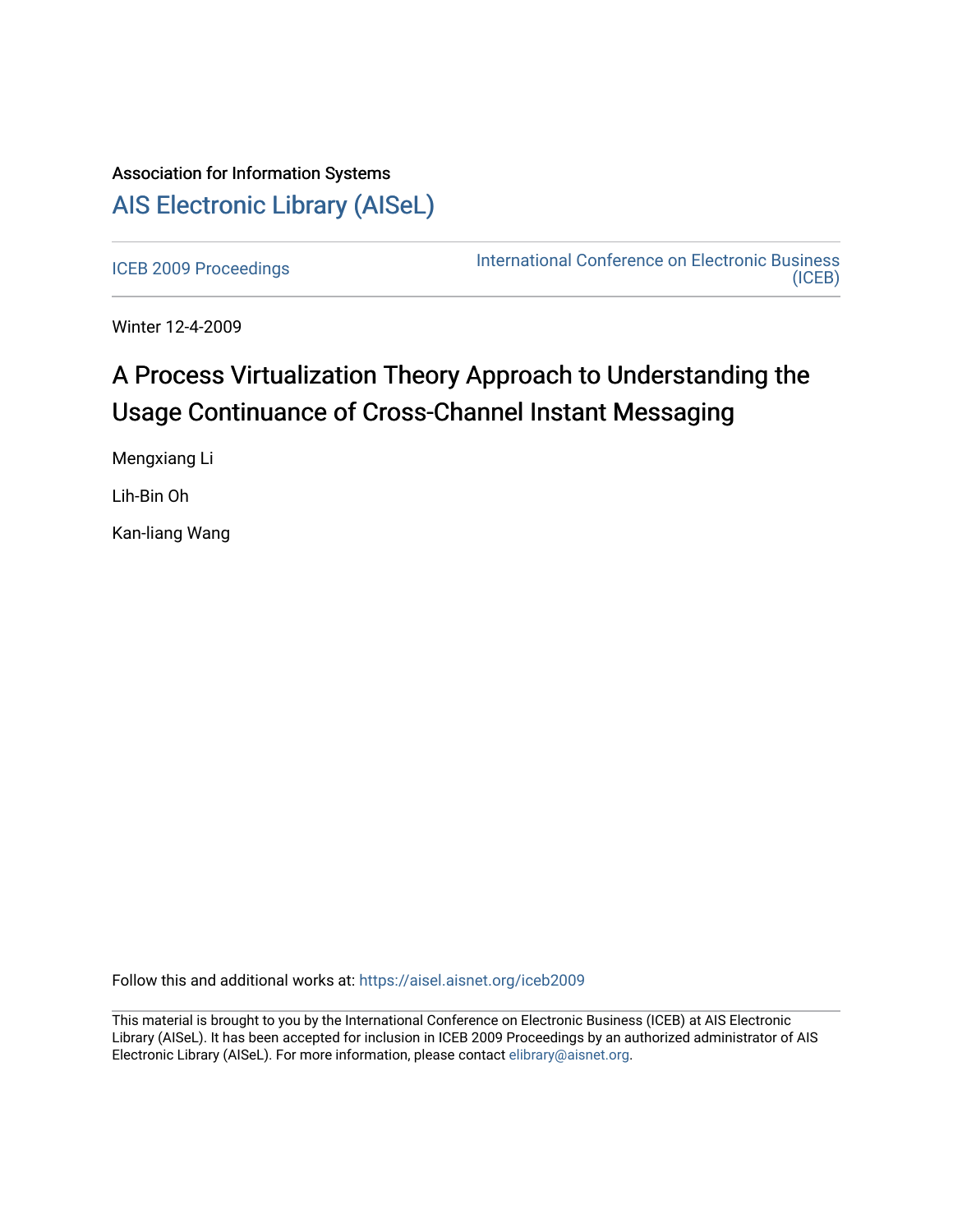# Association for Information Systems [AIS Electronic Library \(AISeL\)](https://aisel.aisnet.org/)

[ICEB 2009 Proceedings](https://aisel.aisnet.org/iceb2009) **International Conference on Electronic Business** [\(ICEB\)](https://aisel.aisnet.org/iceb) 

Winter 12-4-2009

# A Process Virtualization Theory Approach to Understanding the Usage Continuance of Cross-Channel Instant Messaging

Mengxiang Li

Lih-Bin Oh

Kan-liang Wang

Follow this and additional works at: [https://aisel.aisnet.org/iceb2009](https://aisel.aisnet.org/iceb2009?utm_source=aisel.aisnet.org%2Ficeb2009%2F114&utm_medium=PDF&utm_campaign=PDFCoverPages)

This material is brought to you by the International Conference on Electronic Business (ICEB) at AIS Electronic Library (AISeL). It has been accepted for inclusion in ICEB 2009 Proceedings by an authorized administrator of AIS Electronic Library (AISeL). For more information, please contact [elibrary@aisnet.org.](mailto:elibrary@aisnet.org%3E)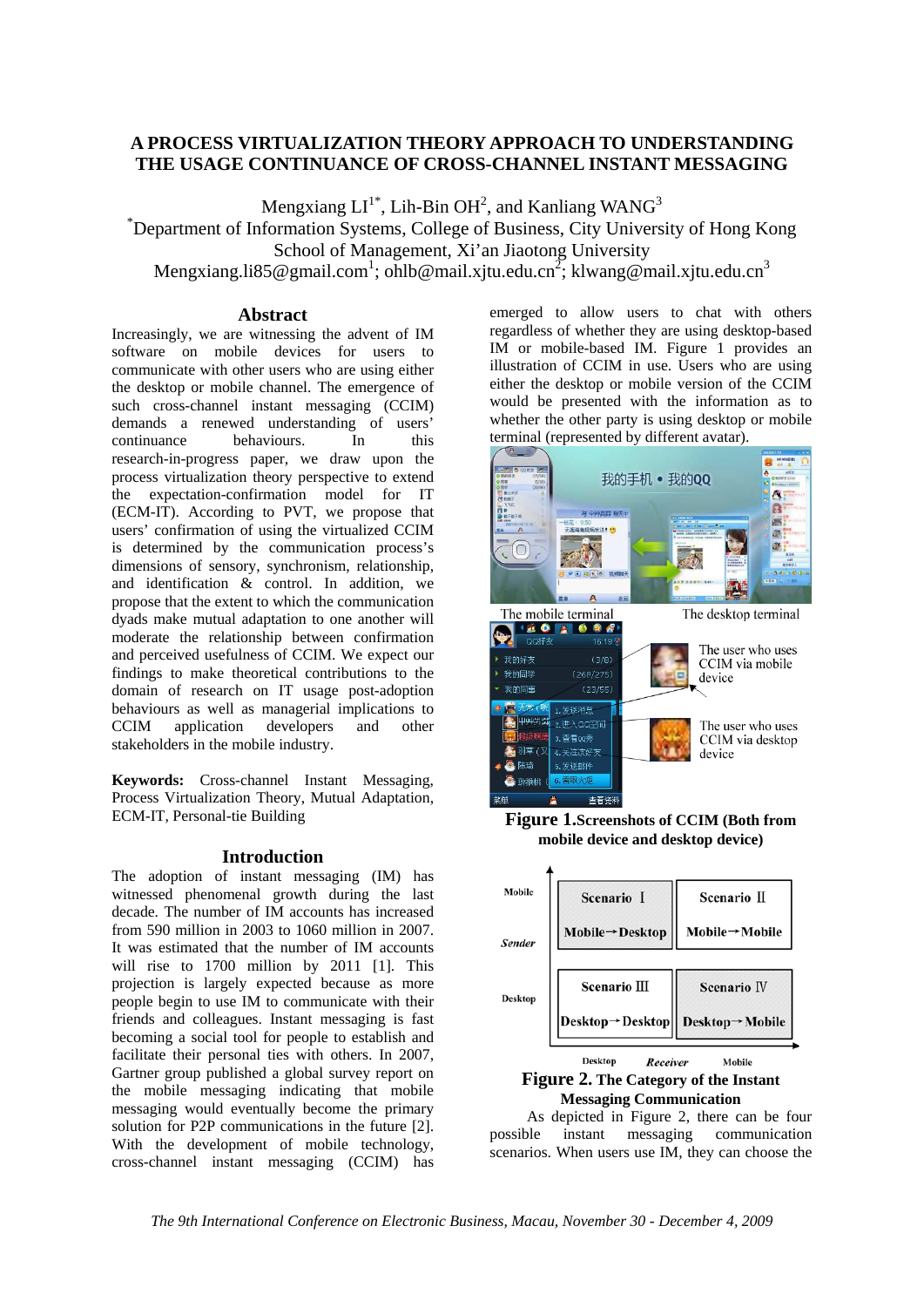# **A PROCESS VIRTUALIZATION THEORY APPROACH TO UNDERSTANDING THE USAGE CONTINUANCE OF CROSS-CHANNEL INSTANT MESSAGING**

Mengxiang  $LI^{1*}$ , Lih-Bin OH<sup>2</sup>, and Kanliang WANG<sup>3</sup>

\* Department of Information Systems, College of Business, City University of Hong Kong School of Management, Xi'an Jiaotong University

Mengxiang.li85@gmail.com<sup>1</sup>; ohlb@mail.xjtu.edu.cn<sup>2</sup>; klwang@mail.xjtu.edu.cn<sup>3</sup>

#### **Abstract**

Increasingly, we are witnessing the advent of IM software on mobile devices for users to communicate with other users who are using either the desktop or mobile channel. The emergence of such cross-channel instant messaging (CCIM) demands a renewed understanding of users' continuance behaviours. In this research-in-progress paper, we draw upon the process virtualization theory perspective to extend the expectation-confirmation model for IT (ECM-IT). According to PVT, we propose that users' confirmation of using the virtualized CCIM is determined by the communication process's dimensions of sensory, synchronism, relationship, and identification & control. In addition, we propose that the extent to which the communication dyads make mutual adaptation to one another will moderate the relationship between confirmation and perceived usefulness of CCIM. We expect our findings to make theoretical contributions to the domain of research on IT usage post-adoption behaviours as well as managerial implications to CCIM application developers and other stakeholders in the mobile industry.

**Keywords:** Cross-channel Instant Messaging, Process Virtualization Theory, Mutual Adaptation, ECM-IT, Personal-tie Building

### **Introduction**

The adoption of instant messaging (IM) has witnessed phenomenal growth during the last decade. The number of IM accounts has increased from 590 million in 2003 to 1060 million in 2007. It was estimated that the number of IM accounts will rise to 1700 million by 2011 [1]. This projection is largely expected because as more people begin to use IM to communicate with their friends and colleagues. Instant messaging is fast becoming a social tool for people to establish and facilitate their personal ties with others. In 2007, Gartner group published a global survey report on the mobile messaging indicating that mobile messaging would eventually become the primary solution for P2P communications in the future [2]. With the development of mobile technology, cross-channel instant messaging (CCIM) has

emerged to allow users to chat with others regardless of whether they are using desktop-based IM or mobile-based IM. Figure 1 provides an illustration of CCIM in use. Users who are using either the desktop or mobile version of the CCIM would be presented with the information as to whether the other party is using desktop or mobile terminal (represented by different avatar).



**Figure 1.Screenshots of CCIM (Both from mobile device and desktop device)** 



**Messaging Communication** 

As depicted in Figure 2, there can be four possible instant messaging communication scenarios. When users use IM, they can choose the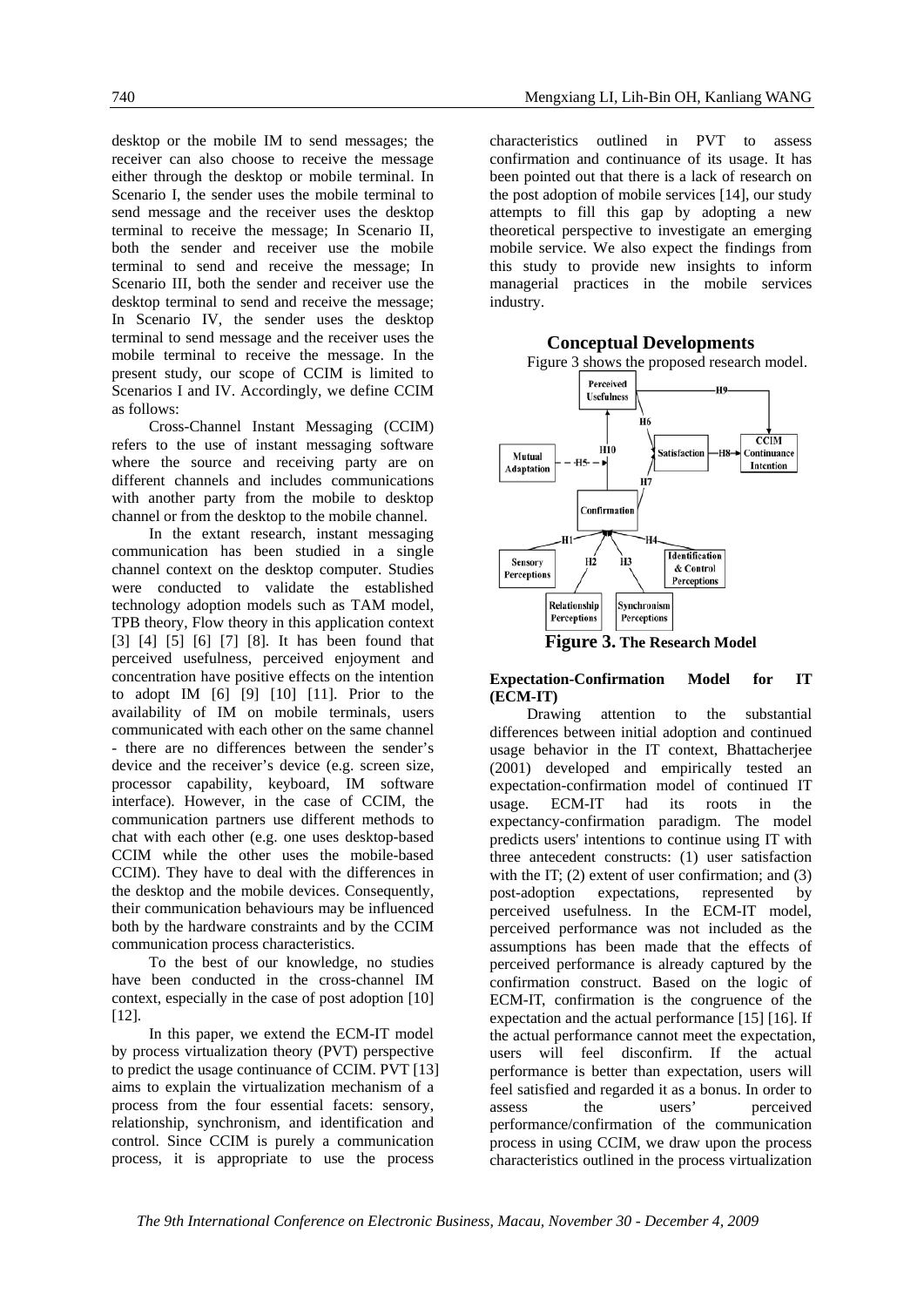desktop or the mobile IM to send messages; the receiver can also choose to receive the message either through the desktop or mobile terminal. In Scenario I, the sender uses the mobile terminal to send message and the receiver uses the desktop terminal to receive the message; In Scenario II, both the sender and receiver use the mobile terminal to send and receive the message; In Scenario III, both the sender and receiver use the desktop terminal to send and receive the message; In Scenario IV, the sender uses the desktop terminal to send message and the receiver uses the mobile terminal to receive the message. In the present study, our scope of CCIM is limited to Scenarios I and IV. Accordingly, we define CCIM as follows:

Cross-Channel Instant Messaging (CCIM) refers to the use of instant messaging software where the source and receiving party are on different channels and includes communications with another party from the mobile to desktop channel or from the desktop to the mobile channel.

In the extant research, instant messaging communication has been studied in a single channel context on the desktop computer. Studies were conducted to validate the established technology adoption models such as TAM model, TPB theory, Flow theory in this application context [3] [4] [5] [6] [7] [8]. It has been found that perceived usefulness, perceived enjoyment and concentration have positive effects on the intention to adopt IM [6] [9] [10] [11]. Prior to the availability of IM on mobile terminals, users communicated with each other on the same channel - there are no differences between the sender's device and the receiver's device (e.g. screen size, processor capability, keyboard, IM software interface). However, in the case of CCIM, the communication partners use different methods to chat with each other (e.g. one uses desktop-based CCIM while the other uses the mobile-based CCIM). They have to deal with the differences in the desktop and the mobile devices. Consequently, their communication behaviours may be influenced both by the hardware constraints and by the CCIM communication process characteristics.

To the best of our knowledge, no studies have been conducted in the cross-channel IM context, especially in the case of post adoption [10] [12].

In this paper, we extend the ECM-IT model by process virtualization theory (PVT) perspective to predict the usage continuance of CCIM. PVT [13] aims to explain the virtualization mechanism of a process from the four essential facets: sensory, relationship, synchronism, and identification and control. Since CCIM is purely a communication process, it is appropriate to use the process

characteristics outlined in PVT to assess confirmation and continuance of its usage. It has been pointed out that there is a lack of research on the post adoption of mobile services [14], our study attempts to fill this gap by adopting a new theoretical perspective to investigate an emerging mobile service. We also expect the findings from this study to provide new insights to inform managerial practices in the mobile services industry.



**Expectation-Confirmation Model for IT (ECM-IT)** 

Drawing attention to the substantial differences between initial adoption and continued usage behavior in the IT context, Bhattacherjee (2001) developed and empirically tested an expectation-confirmation model of continued IT usage. ECM-IT had its roots in the expectancy-confirmation paradigm. The model predicts users' intentions to continue using IT with three antecedent constructs: (1) user satisfaction with the IT; (2) extent of user confirmation; and (3) post-adoption expectations, represented by perceived usefulness. In the ECM-IT model, perceived performance was not included as the assumptions has been made that the effects of perceived performance is already captured by the confirmation construct. Based on the logic of ECM-IT, confirmation is the congruence of the expectation and the actual performance [15] [16]. If the actual performance cannot meet the expectation, users will feel disconfirm. If the actual performance is better than expectation, users will feel satisfied and regarded it as a bonus. In order to assess the users' perceived performance/confirmation of the communication process in using CCIM, we draw upon the process characteristics outlined in the process virtualization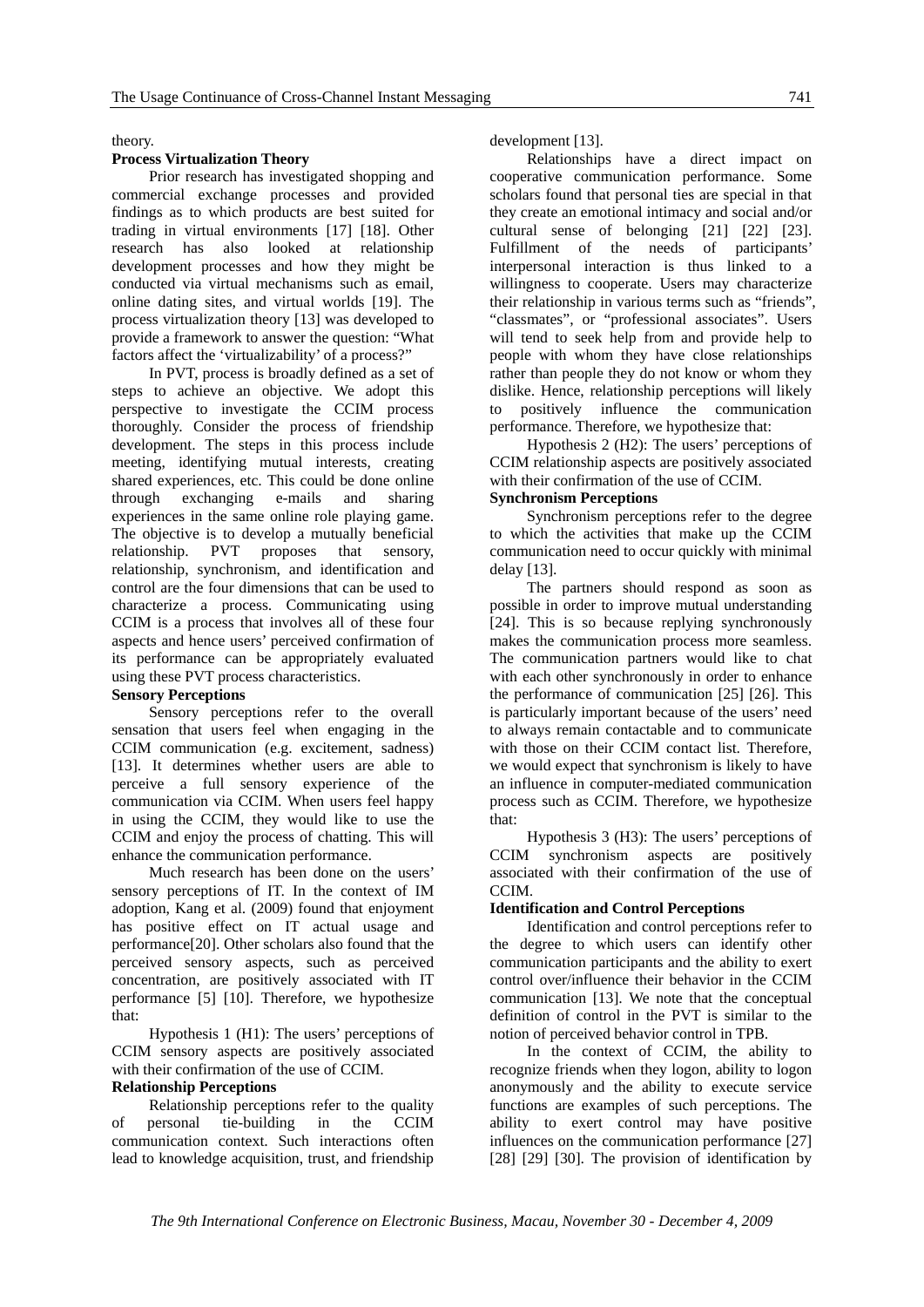theory.

#### **Process Virtualization Theory**

Prior research has investigated shopping and commercial exchange processes and provided findings as to which products are best suited for trading in virtual environments [17] [18]. Other research has also looked at relationship development processes and how they might be conducted via virtual mechanisms such as email, online dating sites, and virtual worlds [19]. The process virtualization theory [13] was developed to provide a framework to answer the question: "What factors affect the 'virtualizability' of a process?"

In PVT, process is broadly defined as a set of steps to achieve an objective. We adopt this perspective to investigate the CCIM process thoroughly. Consider the process of friendship development. The steps in this process include meeting, identifying mutual interests, creating shared experiences, etc. This could be done online through exchanging e-mails and sharing experiences in the same online role playing game. The objective is to develop a mutually beneficial relationship. PVT proposes that sensory, relationship, synchronism, and identification and control are the four dimensions that can be used to characterize a process. Communicating using CCIM is a process that involves all of these four aspects and hence users' perceived confirmation of its performance can be appropriately evaluated using these PVT process characteristics.

#### **Sensory Perceptions**

Sensory perceptions refer to the overall sensation that users feel when engaging in the CCIM communication (e.g. excitement, sadness) [13]. It determines whether users are able to perceive a full sensory experience of the communication via CCIM. When users feel happy in using the CCIM, they would like to use the CCIM and enjoy the process of chatting. This will enhance the communication performance.

Much research has been done on the users' sensory perceptions of IT. In the context of IM adoption, Kang et al. (2009) found that enjoyment has positive effect on IT actual usage and performance[20]. Other scholars also found that the perceived sensory aspects, such as perceived concentration, are positively associated with IT performance [5] [10]. Therefore, we hypothesize that:

Hypothesis 1 (H1): The users' perceptions of CCIM sensory aspects are positively associated with their confirmation of the use of CCIM.

#### **Relationship Perceptions**

Relationship perceptions refer to the quality of personal tie-building in the CCIM communication context. Such interactions often lead to knowledge acquisition, trust, and friendship

development [13].

Relationships have a direct impact on cooperative communication performance. Some scholars found that personal ties are special in that they create an emotional intimacy and social and/or cultural sense of belonging [21] [22] [23]. Fulfillment of the needs of participants' interpersonal interaction is thus linked to a willingness to cooperate. Users may characterize their relationship in various terms such as "friends", "classmates", or "professional associates". Users will tend to seek help from and provide help to people with whom they have close relationships rather than people they do not know or whom they dislike. Hence, relationship perceptions will likely to positively influence the communication performance. Therefore, we hypothesize that:

Hypothesis 2 (H2): The users' perceptions of CCIM relationship aspects are positively associated with their confirmation of the use of CCIM.

#### **Synchronism Perceptions**

Synchronism perceptions refer to the degree to which the activities that make up the CCIM communication need to occur quickly with minimal delay [13].

The partners should respond as soon as possible in order to improve mutual understanding [24]. This is so because replying synchronously makes the communication process more seamless. The communication partners would like to chat with each other synchronously in order to enhance the performance of communication [25] [26]. This is particularly important because of the users' need to always remain contactable and to communicate with those on their CCIM contact list. Therefore, we would expect that synchronism is likely to have an influence in computer-mediated communication process such as CCIM. Therefore, we hypothesize that:

Hypothesis 3 (H3): The users' perceptions of CCIM synchronism aspects are positively associated with their confirmation of the use of **CCIM** 

#### **Identification and Control Perceptions**

Identification and control perceptions refer to the degree to which users can identify other communication participants and the ability to exert control over/influence their behavior in the CCIM communication [13]. We note that the conceptual definition of control in the PVT is similar to the notion of perceived behavior control in TPB.

In the context of CCIM, the ability to recognize friends when they logon, ability to logon anonymously and the ability to execute service functions are examples of such perceptions. The ability to exert control may have positive influences on the communication performance [27] [28] [29] [30]. The provision of identification by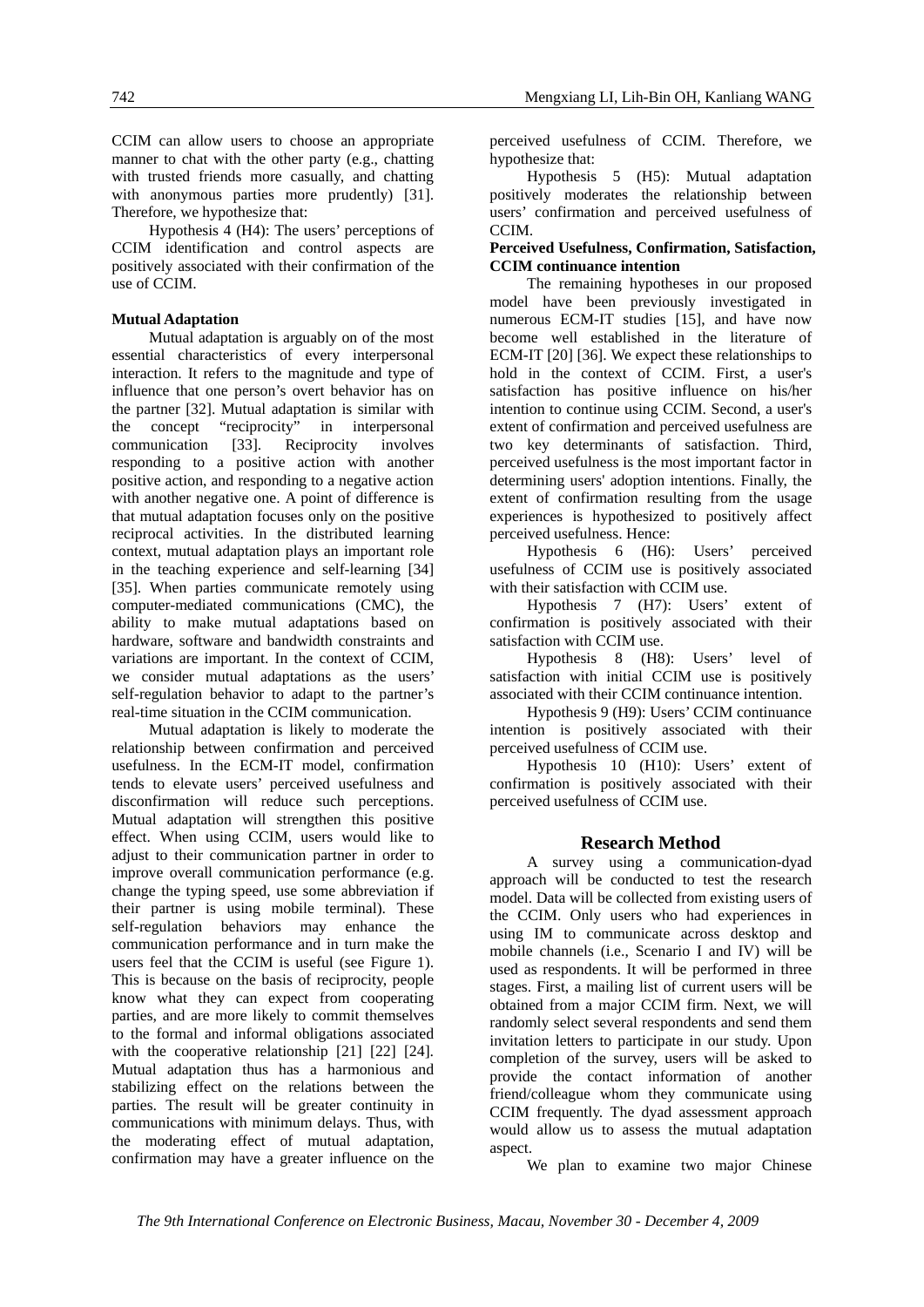CCIM can allow users to choose an appropriate manner to chat with the other party (e.g., chatting with trusted friends more casually, and chatting with anonymous parties more prudently) [31]. Therefore, we hypothesize that:

Hypothesis 4 (H4): The users' perceptions of CCIM identification and control aspects are positively associated with their confirmation of the use of CCIM.

#### **Mutual Adaptation**

Mutual adaptation is arguably on of the most essential characteristics of every interpersonal interaction. It refers to the magnitude and type of influence that one person's overt behavior has on the partner [32]. Mutual adaptation is similar with the concept "reciprocity" in interpersonal communication [33]. Reciprocity involves responding to a positive action with another positive action, and responding to a negative action with another negative one. A point of difference is that mutual adaptation focuses only on the positive reciprocal activities. In the distributed learning context, mutual adaptation plays an important role in the teaching experience and self-learning [34] [35]. When parties communicate remotely using computer-mediated communications (CMC), the ability to make mutual adaptations based on hardware, software and bandwidth constraints and variations are important. In the context of CCIM, we consider mutual adaptations as the users' self-regulation behavior to adapt to the partner's real-time situation in the CCIM communication.

Mutual adaptation is likely to moderate the relationship between confirmation and perceived usefulness. In the ECM-IT model, confirmation tends to elevate users' perceived usefulness and disconfirmation will reduce such perceptions. Mutual adaptation will strengthen this positive effect. When using CCIM, users would like to adjust to their communication partner in order to improve overall communication performance (e.g. change the typing speed, use some abbreviation if their partner is using mobile terminal). These self-regulation behaviors may enhance the communication performance and in turn make the users feel that the CCIM is useful (see Figure 1). This is because on the basis of reciprocity, people know what they can expect from cooperating parties, and are more likely to commit themselves to the formal and informal obligations associated with the cooperative relationship [21] [22] [24]. Mutual adaptation thus has a harmonious and stabilizing effect on the relations between the parties. The result will be greater continuity in communications with minimum delays. Thus, with the moderating effect of mutual adaptation, confirmation may have a greater influence on the

perceived usefulness of CCIM. Therefore, we hypothesize that:

Hypothesis 5 (H5): Mutual adaptation positively moderates the relationship between users' confirmation and perceived usefulness of CCIM.

#### **Perceived Usefulness, Confirmation, Satisfaction, CCIM continuance intention**

The remaining hypotheses in our proposed model have been previously investigated in numerous ECM-IT studies [15], and have now become well established in the literature of ECM-IT [20] [36]. We expect these relationships to hold in the context of CCIM. First, a user's satisfaction has positive influence on his/her intention to continue using CCIM. Second, a user's extent of confirmation and perceived usefulness are two key determinants of satisfaction. Third, perceived usefulness is the most important factor in determining users' adoption intentions. Finally, the extent of confirmation resulting from the usage experiences is hypothesized to positively affect perceived usefulness. Hence:

Hypothesis 6 (H6): Users' perceived usefulness of CCIM use is positively associated with their satisfaction with CCIM use.

Hypothesis 7 (H7): Users' extent of confirmation is positively associated with their satisfaction with CCIM use.

Hypothesis 8 (H8): Users' level of satisfaction with initial CCIM use is positively associated with their CCIM continuance intention.

Hypothesis 9 (H9): Users' CCIM continuance intention is positively associated with their perceived usefulness of CCIM use.

Hypothesis 10 (H10): Users' extent of confirmation is positively associated with their perceived usefulness of CCIM use.

#### **Research Method**

A survey using a communication-dyad approach will be conducted to test the research model. Data will be collected from existing users of the CCIM. Only users who had experiences in using IM to communicate across desktop and mobile channels (i.e., Scenario I and IV) will be used as respondents. It will be performed in three stages. First, a mailing list of current users will be obtained from a major CCIM firm. Next, we will randomly select several respondents and send them invitation letters to participate in our study. Upon completion of the survey, users will be asked to provide the contact information of another friend/colleague whom they communicate using CCIM frequently. The dyad assessment approach would allow us to assess the mutual adaptation aspect.

We plan to examine two major Chinese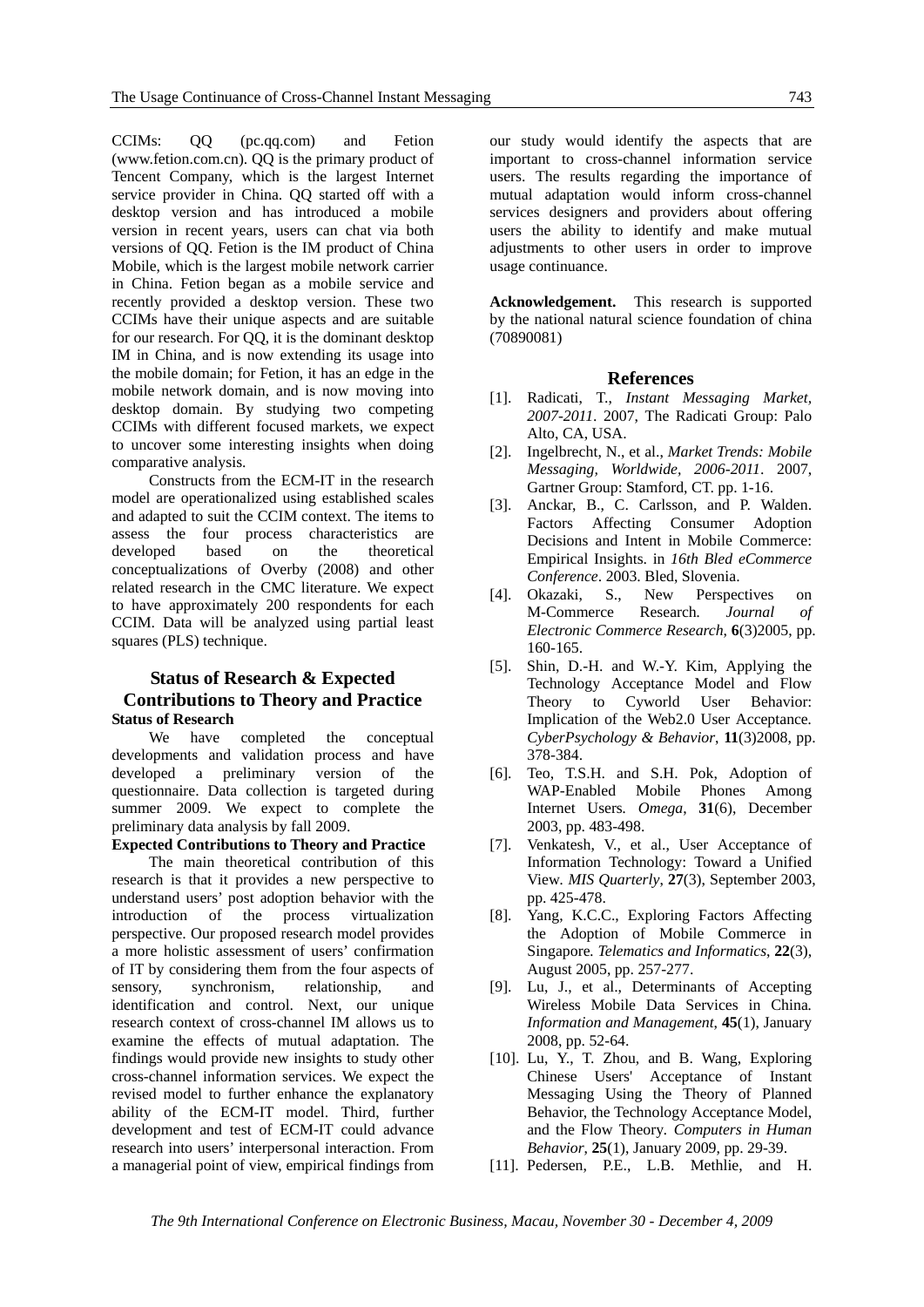CCIMs: QQ (pc.qq.com) and Fetion (www.fetion.com.cn). QQ is the primary product of Tencent Company, which is the largest Internet service provider in China. QQ started off with a desktop version and has introduced a mobile version in recent years, users can chat via both versions of QQ. Fetion is the IM product of China Mobile, which is the largest mobile network carrier in China. Fetion began as a mobile service and recently provided a desktop version. These two CCIMs have their unique aspects and are suitable for our research. For QQ, it is the dominant desktop IM in China, and is now extending its usage into the mobile domain; for Fetion, it has an edge in the mobile network domain, and is now moving into desktop domain. By studying two competing CCIMs with different focused markets, we expect to uncover some interesting insights when doing comparative analysis.

Constructs from the ECM-IT in the research model are operationalized using established scales and adapted to suit the CCIM context. The items to assess the four process characteristics are developed based on the theoretical conceptualizations of Overby (2008) and other related research in the CMC literature. We expect to have approximately 200 respondents for each CCIM. Data will be analyzed using partial least squares (PLS) technique.

## **Status of Research & Expected Contributions to Theory and Practice Status of Research**

We have completed the conceptual developments and validation process and have developed a preliminary version of the questionnaire. Data collection is targeted during summer 2009. We expect to complete the preliminary data analysis by fall 2009.

#### **Expected Contributions to Theory and Practice**

The main theoretical contribution of this research is that it provides a new perspective to understand users' post adoption behavior with the introduction of the process virtualization perspective. Our proposed research model provides a more holistic assessment of users' confirmation of IT by considering them from the four aspects of sensory, synchronism, relationship, and identification and control. Next, our unique research context of cross-channel IM allows us to examine the effects of mutual adaptation. The findings would provide new insights to study other cross-channel information services. We expect the revised model to further enhance the explanatory ability of the ECM-IT model. Third, further development and test of ECM-IT could advance research into users' interpersonal interaction. From a managerial point of view, empirical findings from

our study would identify the aspects that are important to cross-channel information service users. The results regarding the importance of mutual adaptation would inform cross-channel services designers and providers about offering users the ability to identify and make mutual adjustments to other users in order to improve usage continuance.

**Acknowledgement.** This research is supported by the national natural science foundation of china (70890081)

#### **References**

- [1]. Radicati, T., *Instant Messaging Market, 2007-2011*. 2007, The Radicati Group: Palo Alto, CA, USA.
- [2]. Ingelbrecht, N., et al., *Market Trends: Mobile Messaging, Worldwide, 2006-2011*. 2007, Gartner Group: Stamford, CT. pp. 1-16.
- [3]. Anckar, B., C. Carlsson, and P. Walden. Factors Affecting Consumer Adoption Decisions and Intent in Mobile Commerce: Empirical Insights. in *16th Bled eCommerce Conference*. 2003. Bled, Slovenia.
- [4]. Okazaki, S., New Perspectives on M-Commerce Research*. Journal of Electronic Commerce Research*, **6**(3)2005, pp. 160-165.
- [5]. Shin, D.-H. and W.-Y. Kim, Applying the Technology Acceptance Model and Flow Theory to Cyworld User Behavior: Implication of the Web2.0 User Acceptance*. CyberPsychology & Behavior*, **11**(3)2008, pp. 378-384.
- [6]. Teo, T.S.H. and S.H. Pok, Adoption of WAP-Enabled Mobile Phones Among Internet Users*. Omega*, **31**(6), December 2003, pp. 483-498.
- [7]. Venkatesh, V., et al., User Acceptance of Information Technology: Toward a Unified View*. MIS Quarterly*, **27**(3), September 2003, pp. 425-478.
- [8]. Yang, K.C.C., Exploring Factors Affecting the Adoption of Mobile Commerce in Singapore*. Telematics and Informatics*, **22**(3), August 2005, pp. 257-277.
- [9]. Lu, J., et al., Determinants of Accepting Wireless Mobile Data Services in China*. Information and Management*, **45**(1), January 2008, pp. 52-64.
- [10]. Lu, Y., T. Zhou, and B. Wang, Exploring Chinese Users' Acceptance of Instant Messaging Using the Theory of Planned Behavior, the Technology Acceptance Model, and the Flow Theory*. Computers in Human Behavior*, **25**(1), January 2009, pp. 29-39.
- [11]. Pedersen, P.E., L.B. Methlie, and H.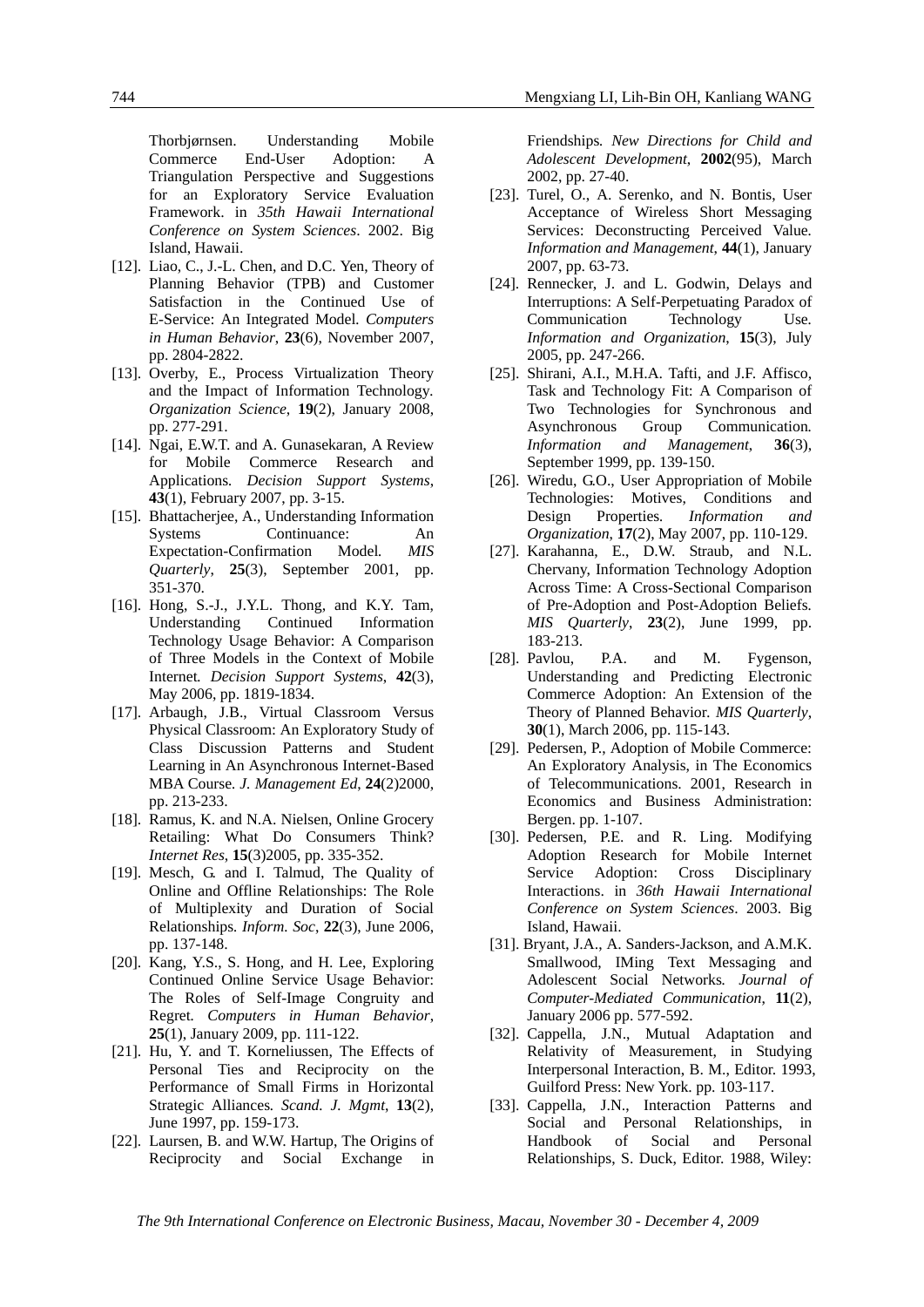Thorbjørnsen. Understanding Mobile Commerce End-User Adoption: A Triangulation Perspective and Suggestions for an Exploratory Service Evaluation Framework. in *35th Hawaii International Conference on System Sciences*. 2002. Big Island, Hawaii.

- [12]. Liao, C., J.-L. Chen, and D.C. Yen, Theory of Planning Behavior (TPB) and Customer Satisfaction in the Continued Use of E-Service: An Integrated Model*. Computers in Human Behavior*, **23**(6), November 2007, pp. 2804-2822.
- [13]. Overby, E., Process Virtualization Theory and the Impact of Information Technology*. Organization Science*, **19**(2), January 2008, pp. 277-291.
- [14]. Ngai, E.W.T. and A. Gunasekaran, A Review for Mobile Commerce Research and Applications*. Decision Support Systems*, **43**(1), February 2007, pp. 3-15.
- [15]. Bhattacherjee, A., Understanding Information Systems Continuance: An Expectation-Confirmation Model*. MIS Quarterly*, **25**(3), September 2001, pp. 351-370.
- [16]. Hong, S.-J., J.Y.L. Thong, and K.Y. Tam, Understanding Continued Information Technology Usage Behavior: A Comparison of Three Models in the Context of Mobile Internet*. Decision Support Systems*, **42**(3), May 2006, pp. 1819-1834.
- [17]. Arbaugh, J.B., Virtual Classroom Versus Physical Classroom: An Exploratory Study of Class Discussion Patterns and Student Learning in An Asynchronous Internet-Based MBA Course*. J. Management Ed*, **24**(2)2000, pp. 213-233.
- [18]. Ramus, K. and N.A. Nielsen, Online Grocery Retailing: What Do Consumers Think? *Internet Res*, **15**(3)2005, pp. 335-352.
- [19]. Mesch, G. and I. Talmud, The Quality of Online and Offline Relationships: The Role of Multiplexity and Duration of Social Relationships*. Inform. Soc*, **22**(3), June 2006, pp. 137-148.
- [20]. Kang, Y.S., S. Hong, and H. Lee, Exploring Continued Online Service Usage Behavior: The Roles of Self-Image Congruity and Regret*. Computers in Human Behavior*, **25**(1), January 2009, pp. 111-122.
- [21]. Hu, Y. and T. Korneliussen, The Effects of Personal Ties and Reciprocity on the Performance of Small Firms in Horizontal Strategic Alliances*. Scand. J. Mgmt*, **13**(2), June 1997, pp. 159-173.
- [22]. Laursen, B. and W.W. Hartup, The Origins of Reciprocity and Social Exchange in

Friendships*. New Directions for Child and Adolescent Development*, **2002**(95), March 2002, pp. 27-40.

- [23]. Turel, O., A. Serenko, and N. Bontis, User Acceptance of Wireless Short Messaging Services: Deconstructing Perceived Value*. Information and Management*, **44**(1), January 2007, pp. 63-73.
- [24]. Rennecker, J. and L. Godwin, Delays and Interruptions: A Self-Perpetuating Paradox of Communication Technology Use*. Information and Organization*, **15**(3), July 2005, pp. 247-266.
- [25]. Shirani, A.I., M.H.A. Tafti, and J.F. Affisco, Task and Technology Fit: A Comparison of Two Technologies for Synchronous and Asynchronous Group Communication*. Information and Management*, **36**(3), September 1999, pp. 139-150.
- [26]. Wiredu, G.O., User Appropriation of Mobile Technologies: Motives, Conditions and Design Properties*. Information and Organization*, **17**(2), May 2007, pp. 110-129.
- [27]. Karahanna, E., D.W. Straub, and N.L. Chervany, Information Technology Adoption Across Time: A Cross-Sectional Comparison of Pre-Adoption and Post-Adoption Beliefs*. MIS Quarterly*, **23**(2), June 1999, pp. 183-213.
- [28]. Pavlou, P.A. and M. Fygenson, Understanding and Predicting Electronic Commerce Adoption: An Extension of the Theory of Planned Behavior*. MIS Quarterly*, **30**(1), March 2006, pp. 115-143.
- [29]. Pedersen, P., Adoption of Mobile Commerce: An Exploratory Analysis, in The Economics of Telecommunications. 2001, Research in Economics and Business Administration: Bergen. pp. 1-107.
- [30]. Pedersen, P.E. and R. Ling. Modifying Adoption Research for Mobile Internet Service Adoption: Cross Disciplinary Interactions. in *36th Hawaii International Conference on System Sciences*. 2003. Big Island, Hawaii.
- [31]. Bryant, J.A., A. Sanders-Jackson, and A.M.K. Smallwood, IMing Text Messaging and Adolescent Social Networks*. Journal of Computer-Mediated Communication*, **11**(2), January 2006 pp. 577-592.
- [32]. Cappella, J.N., Mutual Adaptation and Relativity of Measurement, in Studying Interpersonal Interaction, B. M., Editor. 1993, Guilford Press: New York. pp. 103-117.
- [33]. Cappella, J.N., Interaction Patterns and Social and Personal Relationships, in Handbook of Social and Personal Relationships, S. Duck, Editor. 1988, Wiley: